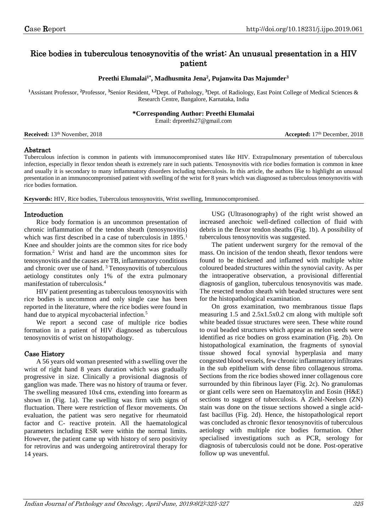# Rice bodies in tuberculous tenosynovitis of the wrist: An unusual presentation in a HIV patient

#### **Preethi Elumalai1\* , Madhusmita Jena<sup>2</sup> , Pujanwita Das Majumder<sup>3</sup>**

**<sup>1</sup>**Assistant Professor, **<sup>2</sup>**Professor, **<sup>3</sup>**Senior Resident, **1,2**Dept. of Pathology, **<sup>3</sup>**Dept. of Radiology, East Point College of Medical Sciences & Research Centre, Bangalore, Karnataka, India

#### **\*Corresponding Author: Preethi Elumalai**

Email: drpreethi27@gmail.com

|  | Received: 13 <sup>th</sup> November, 2018 |  |
|--|-------------------------------------------|--|
|--|-------------------------------------------|--|

**Received:** 13<sup>th</sup> November, 2018 **Accepted: 17<sup>th</sup> December, 2018 Accepted: 17<sup>th</sup> December, 2018** 

## Abstract

Tuberculous infection is common in patients with immunocompromised states like HIV. Extrapulmonary presentation of tuberculous infection, especially in flexor tendon sheath is extremely rare in such patients. Tenosynovitis with rice bodies formation is common in knee and usually it is secondary to many inflammatory disorders including tuberculosis. In this article, the authors like to highlight an unusual presentation in an immunocompromised patient with swelling of the wrist for 8 years which was diagnosed as tuberculous tenosynovitis with rice bodies formation.

**Keywords:** HIV, Rice bodies, Tuberculous tenosynovitis, Wrist swelling, Immunocompromised.

## Introduction

Rice body formation is an uncommon presentation of chronic inflammation of the tendon sheath (tenosynovitis) which was first described in a case of tuberculosis in 1895.<sup>1</sup> Knee and shoulder joints are the common sites for rice body formation.<sup>2</sup> Wrist and hand are the uncommon sites for tenosynovitis and the causes are TB, inflammatory conditions and chronic over use of hand.<sup>3</sup> Tenosynovitis of tuberculous aetiology constitutes only 1% of the extra pulmonary manifestation of tuberculosis.<sup>4</sup>

HIV patient presenting as tuberculous tenosynovitis with rice bodies is uncommon and only single case has been reported in the literature, where the rice bodies were found in hand due to atypical mycobacterial infection.<sup>5</sup>

We report a second case of multiple rice bodies formation in a patient of HIV diagnosed as tuberculous tenosynovitis of wrist on histopathology.

## Case History

A 56 years old woman presented with a swelling over the wrist of right hand 8 years duration which was gradually progressive in size. Clinically a provisional diagnosis of ganglion was made. There was no history of trauma or fever. The swelling measured 10x4 cms, extending into forearm as shown in (Fig. 1a). The swelling was firm with signs of fluctuation. There were restriction of flexor movements. On evaluation, the patient was sero negative for rheumatoid factor and C- reactive protein. All the haematological parameters including ESR were within the normal limits. However, the patient came up with history of sero positivity for retrovirus and was undergoing antiretroviral therapy for 14 years.

USG (Ultrasonography) of the right wrist showed an increased anechoic well-defined collection of fluid with debris in the flexor tendon sheaths (Fig. 1b). A possibility of tuberculous tenosynovitis was suggested.

The patient underwent surgery for the removal of the mass. On incision of the tendon sheath, flexor tendons were found to be thickened and inflamed with multiple white coloured beaded structures within the synovial cavity. As per the intraoperative observation, a provisional differential diagnosis of ganglion, tuberculous tenosynovitis was made. The resected tendon sheath with beaded structures were sent for the histopathological examination.

On gross examination, two membranous tissue flaps measuring 1.5 and 2.5x1.5x0.2 cm along with multiple soft white beaded tissue structures were seen. These white round to oval beaded structures which appear as melon seeds were identified as rice bodies on gross examination (Fig. 2b). On histopathological examination, the fragments of synovial tissue showed focal synovial hyperplasia and many congested blood vessels, few chronic inflammatory infiltrates in the sub epithelium with dense fibro collagenous stroma. Sections from the rice bodies showed inner collagenous core surrounded by thin fibrinous layer (Fig. 2c). No granulomas or giant cells were seen on Haematoxylin and Eosin (H&E) sections to suggest of tuberculosis. A Ziehl-Neelsen (ZN) stain was done on the tissue sections showed a single acidfast bacillus (Fig. 2d). Hence, the histopathological report was concluded as chronic flexor tenosynovitis of tuberculous aetiology with multiple rice bodies formation. Other specialised investigations such as PCR, serology for diagnosis of tuberculosis could not be done. Post-operative follow up was uneventful.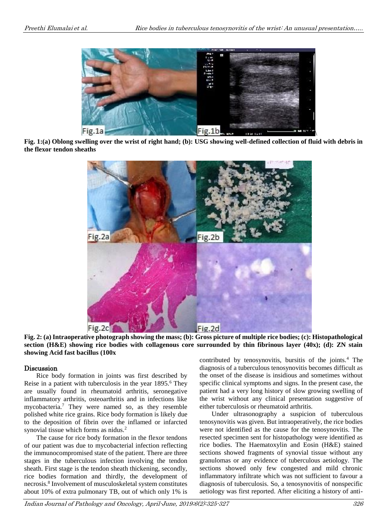

 $\backslash$ **Fig. 1:(a) Oblong swelling over the wrist of right hand; (b): USG showing well-defined collection of fluid with debris in the flexor tendon sheaths**



**Fig. 2: (a) Intraoperative photograph showing the mass; (b): Gross picture of multiple rice bodies; (c): Histopathological section (H&E) showing rice bodies with collagenous core surrounded by thin fibrinous layer (40x); (d): ZN stain showing Acid fast bacillus (100x**

## Discussion

Rice body formation in joints was first described by Reise in a patient with tuberculosis in the year 1895.<sup>6</sup> They are usually found in rheumatoid arthritis, seronegative inflammatory arthritis, osteoarthritis and in infections like mycobacteria.<sup>7</sup> They were named so, as they resemble polished white rice grains. Rice body formation is likely due to the deposition of fibrin over the inflamed or infarcted synovial tissue which forms as nidus.<sup>2</sup>

The cause for rice body formation in the flexor tendons of our patient was due to mycobacterial infection reflecting the immunocompromised state of the patient. There are three stages in the tuberculous infection involving the tendon sheath. First stage is the tendon sheath thickening, secondly, rice bodies formation and thirdly, the development of necrosis.<sup>8</sup> Involvement of musculoskeletal system constitutes about 10% of extra pulmonary TB, out of which only 1% is

contributed by tenosynovitis, bursitis of the joints.<sup>4</sup> The diagnosis of a tuberculous tenosynovitis becomes difficult as the onset of the disease is insidious and sometimes without specific clinical symptoms and signs. In the present case, the patient had a very long history of slow growing swelling of the wrist without any clinical presentation suggestive of either tuberculosis or rheumatoid arthritis.

Under ultrasonography a suspicion of tuberculous tenosynovitis was given. But intraoperatively, the rice bodies were not identified as the cause for the tenosynovitis. The resected specimen sent for histopathology were identified as rice bodies. The Haematoxylin and Eosin (H&E) stained sections showed fragments of synovial tissue without any granulomas or any evidence of tuberculous aetiology. The sections showed only few congested and mild chronic inflammatory infiltrate which was not sufficient to favour a diagnosis of tuberculosis. So, a tenosynovitis of nonspecific aetiology was first reported. After eliciting a history of anti